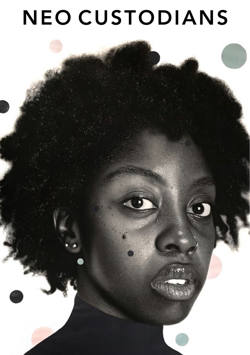# NEO CUSTODIANS

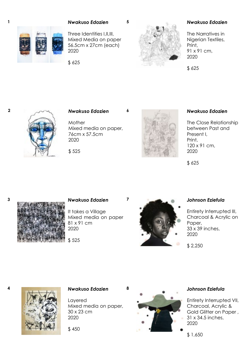#### **1**

**2**

**3**

**4**



**5**

**6**

**7**

**8**

*Nwakuso Edozien*



Three Identities I,II,III, Mixed Media on paper 56.5cm x 27cm (each) 2020

\$ 625



#### The Narratives in Nigerian Textiles, Print, 91 x 91 cm, 2020

\$ 625



# *Nwakuso Edozien*

Mother Mixed media on paper, 76cm x 57.5cm 2020

\$ 525

#### *Nwakuso Edozien*

The Close Relationship between Past and Present I, Print, 120 x 91 cm, 2020

\$ 625



*Nwakuso Edozien*

It takes a Village Mixed media on paper 81 x 91 cm 2020

\$ 525



# *Johnson Eziefula*

Entirety Interrupted III, Charcoal & Acrylic on Paper, 33 x 39 inches, 2020

\$ 2,250



#### *Nwakuso Edozien*

Layered Mixed media on paper, 30 x 23 cm 2020

\$ 450



#### *Johnson Eziefula*

Entirety Interrupted VII, Charcoal, Acrylic & Gold Glitter on Paper , 31 x 34.5 inches, 2020

\$ 1,650